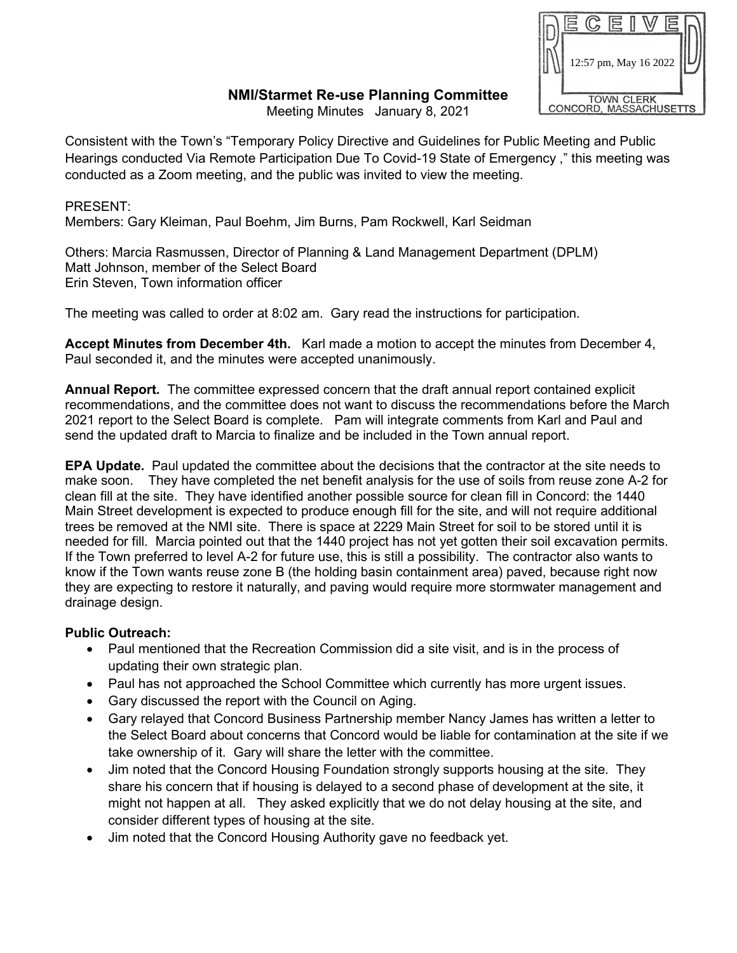## 12:57 pm, May 16 2022TOWN CLERK<br>CONCORD, MASSACHUSETTS

## **NMI/Starmet Re-use Planning Committee**

Meeting Minutes January 8, 2021

Consistent with the Town's "Temporary Policy Directive and Guidelines for Public Meeting and Public Hearings conducted Via Remote Participation Due To Covid-19 State of Emergency ," this meeting was conducted as a Zoom meeting, and the public was invited to view the meeting.

## PRESENT:

Members: Gary Kleiman, Paul Boehm, Jim Burns, Pam Rockwell, Karl Seidman

Others: Marcia Rasmussen, Director of Planning & Land Management Department (DPLM) Matt Johnson, member of the Select Board Erin Steven, Town information officer

The meeting was called to order at 8:02 am. Gary read the instructions for participation.

**Accept Minutes from December 4th.** Karl made a motion to accept the minutes from December 4, Paul seconded it, and the minutes were accepted unanimously.

**Annual Report.** The committee expressed concern that the draft annual report contained explicit recommendations, and the committee does not want to discuss the recommendations before the March 2021 report to the Select Board is complete. Pam will integrate comments from Karl and Paul and send the updated draft to Marcia to finalize and be included in the Town annual report.

**EPA Update.** Paul updated the committee about the decisions that the contractor at the site needs to make soon. They have completed the net benefit analysis for the use of soils from reuse zone A-2 for clean fill at the site. They have identified another possible source for clean fill in Concord: the 1440 Main Street development is expected to produce enough fill for the site, and will not require additional trees be removed at the NMI site. There is space at 2229 Main Street for soil to be stored until it is needed for fill. Marcia pointed out that the 1440 project has not yet gotten their soil excavation permits. If the Town preferred to level A-2 for future use, this is still a possibility. The contractor also wants to know if the Town wants reuse zone B (the holding basin containment area) paved, because right now they are expecting to restore it naturally, and paving would require more stormwater management and drainage design.

## **Public Outreach:**

- Paul mentioned that the Recreation Commission did a site visit, and is in the process of updating their own strategic plan.
- Paul has not approached the School Committee which currently has more urgent issues.
- Gary discussed the report with the Council on Aging.
- Gary relayed that Concord Business Partnership member Nancy James has written a letter to the Select Board about concerns that Concord would be liable for contamination at the site if we take ownership of it. Gary will share the letter with the committee.
- Jim noted that the Concord Housing Foundation strongly supports housing at the site. They share his concern that if housing is delayed to a second phase of development at the site, it might not happen at all. They asked explicitly that we do not delay housing at the site, and consider different types of housing at the site.
- Jim noted that the Concord Housing Authority gave no feedback yet.